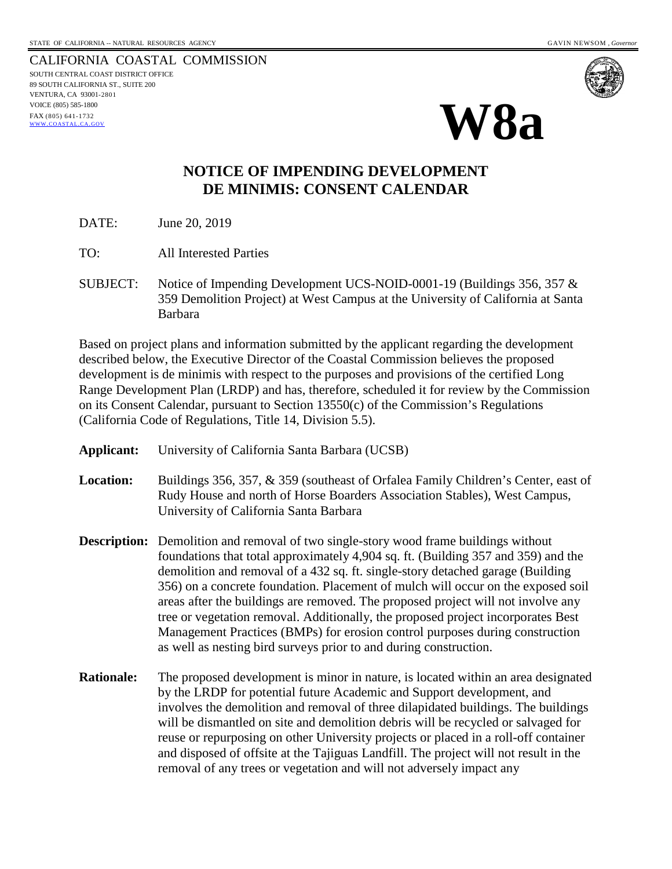CALIFORNIA COASTAL COMMISSION SOUTH CENTRAL COAST DISTRICT OFFICE 89 SOUTH CALIFORNIA ST., SUITE 200 VENTURA, CA 93001-2801 VOICE (805) 585-1800 FAX (805) 641-1732 [WWW.COASTAL.CA.GOV](http://www.coastal.ca.gov/)





## **NOTICE OF IMPENDING DEVELOPMENT DE MINIMIS: CONSENT CALENDAR**

DATE: June 20, 2019

- TO: All Interested Parties
- SUBJECT: Notice of Impending Development UCS-NOID-0001-19 (Buildings 356, 357 & 359 Demolition Project) at West Campus at the University of California at Santa Barbara

Based on project plans and information submitted by the applicant regarding the development described below, the Executive Director of the Coastal Commission believes the proposed development is de minimis with respect to the purposes and provisions of the certified Long Range Development Plan (LRDP) and has, therefore, scheduled it for review by the Commission on its Consent Calendar, pursuant to Section 13550(c) of the Commission's Regulations (California Code of Regulations, Title 14, Division 5.5).

- **Applicant:** University of California Santa Barbara (UCSB) **Location:** Buildings 356, 357, & 359 (southeast of Orfalea Family Children's Center, east of Rudy House and north of Horse Boarders Association Stables), West Campus, University of California Santa Barbara **Description:** Demolition and removal of two single-story wood frame buildings without foundations that total approximately 4,904 sq. ft. (Building 357 and 359) and the demolition and removal of a 432 sq. ft. single-story detached garage (Building 356) on a concrete foundation. Placement of mulch will occur on the exposed soil areas after the buildings are removed. The proposed project will not involve any tree or vegetation removal. Additionally, the proposed project incorporates Best Management Practices (BMPs) for erosion control purposes during construction as well as nesting bird surveys prior to and during construction. **Rationale:** The proposed development is minor in nature, is located within an area designated by the LRDP for potential future Academic and Support development, and involves the demolition and removal of three dilapidated buildings. The buildings will be dismantled on site and demolition debris will be recycled or salvaged for
	- reuse or repurposing on other University projects or placed in a roll-off container and disposed of offsite at the Tajiguas Landfill. The project will not result in the removal of any trees or vegetation and will not adversely impact any